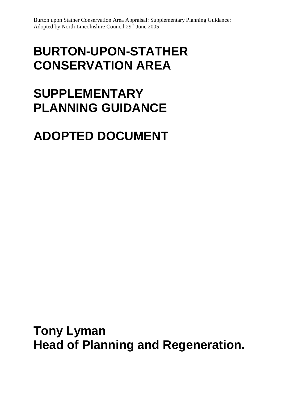# **BURTON-UPON-STATHER CONSERVATION AREA**

# **SUPPLEMENTARY PLANNING GUIDANCE**

# **ADOPTED DOCUMENT**

**Tony Lyman Head of Planning and Regeneration.**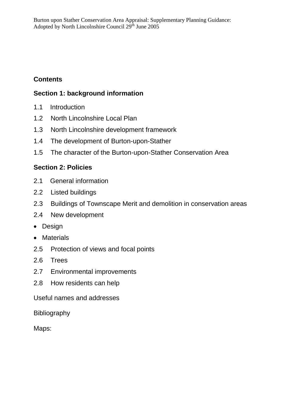# **Contents**

# **Section 1: background information**

- 1.1 Introduction
- 1.2 North Lincolnshire Local Plan
- 1.3 North Lincolnshire development framework
- 1.4 The development of Burton-upon-Stather
- 1.5 The character of the Burton-upon-Stather Conservation Area

# **Section 2: Policies**

- 2.1 General information
- 2.2 Listed buildings
- 2.3 Buildings of Townscape Merit and demolition in conservation areas
- 2.4 New development
- Design
- Materials
- 2.5 Protection of views and focal points
- 2.6 Trees
- 2.7 Environmental improvements
- 2.8 How residents can help
- Useful names and addresses

Bibliography

Maps: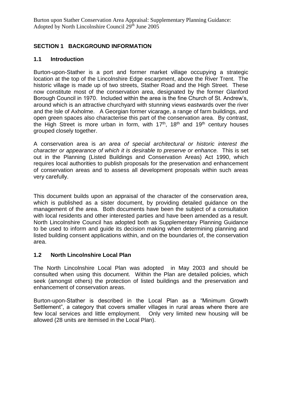# **SECTION 1 BACKGROUND INFORMATION**

#### **1.1 Introduction**

Burton-upon-Stather is a port and former market village occupying a strategic location at the top of the Lincolnshire Edge escarpment, above the River Trent. The historic village is made up of two streets, Stather Road and the High Street. These now constitute most of the conservation area, designated by the former Glanford Borough Council in 1970. Included within the area is the fine Church of St. Andrew's, around which is an attractive churchyard with stunning views eastwards over the river and the Isle of Axholme. A Georgian former vicarage, a range of farm buildings, and open green spaces also characterise this part of the conservation area. By contrast, the High Street is more urban in form, with 17<sup>th</sup>, 18<sup>th</sup> and 19<sup>th</sup> century houses grouped closely together.

A conservation area is *an area of special architectural or historic interest the character or appearance of which it is desirable to preserve or enhance.* This is set out in the Planning (Listed Buildings and Conservation Areas) Act 1990, which requires local authorities to publish proposals for the preservation and enhancement of conservation areas and to assess all development proposals within such areas very carefully.

This document builds upon an appraisal of the character of the conservation area, which is published as a sister document, by providing detailed guidance on the management of the area. Both documents have been the subject of a consultation with local residents and other interested parties and have been amended as a result. North Lincolnshire Council has adopted both as Supplementary Planning Guidance to be used to inform and guide its decision making when determining planning and listed building consent applications within, and on the boundaries of, the conservation area.

## **1.2 North Lincolnshire Local Plan**

The North Lincolnshire Local Plan was adopted in May 2003 and should be consulted when using this document. Within the Plan are detailed policies, which seek (amongst others) the protection of listed buildings and the preservation and enhancement of conservation areas.

Burton-upon-Stather is described in the Local Plan as a "Minimum Growth Settlement", a category that covers smaller villages in rural areas where there are few local services and little employment. Only very limited new housing will be allowed (28 units are itemised in the Local Plan).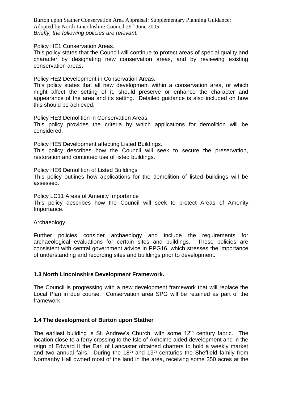Burton upon Stather Conservation Area Appraisal: Supplementary Planning Guidance: Adopted by North Lincolnshire Council 29<sup>th</sup> June 2005 *Briefly, the following policies are relevant:*

Policy HE1 Conservation Areas.

This policy states that the Council will continue to protect areas of special quality and character by designating new conservation areas, and by reviewing existing conservation areas.

Policy HE2 Development in Conservation Areas.

This policy states that all new development within a conservation area, or which might affect the setting of it, should preserve or enhance the character and appearance of the area and its setting. Detailed guidance is also included on how this should be achieved.

Policy HE3 Demolition in Conservation Areas.

This policy provides the criteria by which applications for demolition will be considered.

Policy HE5 Development affecting Listed Buildings. This policy describes how the Council will seek to secure the preservation, restoration and continued use of listed buildings.

Policy HE6 Demolition of Listed Buildings

This policy outlines how applications for the demolition of listed buildings will be assessed.

Policy LC11 Areas of Amenity Importance

This policy describes how the Council will seek to protect Areas of Amenity Importance.

Archaeology.

Further policies consider archaeology and include the requirements for archaeological evaluations for certain sites and buildings. These policies are consistent with central government advice in PPG16, which stresses the importance of understanding and recording sites and buildings prior to development.

#### **1.3 North Lincolnshire Development Framework.**

The Council is progressing with a new development framework that will replace the Local Plan in due course. Conservation area SPG will be retained as part of the framework.

#### **1.4 The development of Burton upon Stather**

The earliest building is St. Andrew's Church, with some  $12<sup>th</sup>$  century fabric. The location close to a ferry crossing to the Isle of Axholme aided development and in the reign of Edward II the Earl of Lancaster obtained charters to hold a weekly market and two annual fairs. During the  $18<sup>th</sup>$  and  $19<sup>th</sup>$  centuries the Sheffield family from Normanby Hall owned most of the land in the area, receiving some 350 acres at the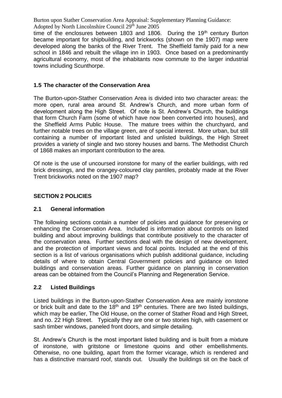time of the enclosures between 1803 and 1806. During the  $19<sup>th</sup>$  century Burton became important for shipbuilding, and brickworks (shown on the 1907) map were developed along the banks of the River Trent. The Sheffield family paid for a new school in 1846 and rebuilt the village inn in 1903. Once based on a predominantly agricultural economy, most of the inhabitants now commute to the larger industrial towns including Scunthorpe.

#### **1.5 The character of the Conservation Area**

The Burton-upon-Stather Conservation Area is divided into two character areas: the more open, rural area around St. Andrew's Church, and more urban form of development along the High Street. Of note is St. Andrew's Church, the buildings that form Church Farm (some of which have now been converted into houses), and the Sheffield Arms Public House. The mature trees within the churchyard, and further notable trees on the village green, are of special interest. More urban, but still containing a number of important listed and unlisted buildings, the High Street provides a variety of single and two storey houses and barns. The Methodist Church of 1868 makes an important contribution to the area.

Of note is the use of uncoursed ironstone for many of the earlier buildings, with red brick dressings, and the orangey-coloured clay pantiles, probably made at the River Trent brickworks noted on the 1907 map?

#### **SECTION 2 POLICIES**

#### **2.1 General information**

The following sections contain a number of policies and guidance for preserving or enhancing the Conservation Area. Included is information about controls on listed building and about improving buildings that contribute positively to the character of the conservation area. Further sections deal with the design of new development, and the protection of important views and focal points. Included at the end of this section is a list of various organisations which publish additional guidance, including details of where to obtain Central Government policies and guidance on listed buildings and conservation areas. Further guidance on planning in conservation areas can be obtained from the Council's Planning and Regeneration Service.

#### **2.2 Listed Buildings**

Listed buildings in the Burton-upon-Stather Conservation Area are mainly ironstone or brick built and date to the  $18<sup>th</sup>$  and  $19<sup>th</sup>$  centuries. There are two listed buildings, which may be earlier, The Old House, on the corner of Stather Road and High Street, and no. 22 High Street. Typically they are one or two stories high, with casement or sash timber windows, paneled front doors, and simple detailing.

St. Andrew's Church is the most important listed building and is built from a mixture of ironstone, with gritstone or limestone quoins and other embellishments. Otherwise, no one building, apart from the former vicarage, which is rendered and has a distinctive mansard roof, stands out. Usually the buildings sit on the back of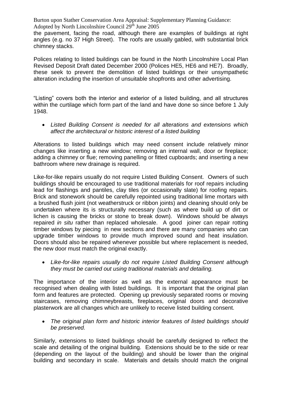the pavement, facing the road, although there are examples of buildings at right angles (e.g. no 37 High Street). The roofs are usually gabled, with substantial brick chimney stacks.

Polices relating to listed buildings can be found in the North Lincolnshire Local Plan Revised Deposit Draft dated December 2000 (Polices HE5, HE6 and HE7). Broadly, these seek to prevent the demolition of listed buildings or their unsympathetic alteration including the insertion of unsuitable shopfronts and other advertising.

"Listing" covers both the interior and exterior of a listed building, and all structures within the curtilage which form part of the land and have done so since before 1 July 1948.

 *Listed Building Consent is needed for all alterations and extensions which affect the architectural or historic interest of a listed building*

Alterations to listed buildings which may need consent include relatively minor changes like inserting a new window; removing an internal wall, door or fireplace; adding a chimney or flue; removing panelling or fitted cupboards; and inserting a new bathroom where new drainage is required.

Like-for-like repairs usually do not require Listed Building Consent. Owners of such buildings should be encouraged to use traditional materials for roof repairs including lead for flashings and pantiles, clay tiles (or occasionally slate) for roofing repairs. Brick and stonework should be carefully repointed using traditional lime mortars with a brushed flush joint (not weatherstruck or ribbon joints) and cleaning should only be undertaken where its is structurally necessary (such as where build up of dirt or lichen is causing the bricks or stone to break down). Windows should be always repaired *in situ* rather than replaced wholesale. A good joiner can repair rotting timber windows by piecing in new sections and there are many companies who can upgrade timber windows to provide much improved sound and heat insulation. Doors should also be repaired whenever possible but where replacement is needed, the new door must match the original exactly.

 *Like-for-like repairs usually do not require Listed Building Consent although they must be carried out using traditional materials and detailing.*

The importance of the interior as well as the external appearance must be recognised when dealing with listed buildings. It is important that the original plan form and features are protected. Opening up previously separated rooms or moving staircases, removing chimneybreasts, fireplaces, original doors and decorative plasterwork are all changes which are unlikely to receive listed building consent.

 *The original plan form and historic interior features of listed buildings should be preserved.*

Similarly, extensions to listed buildings should be carefully designed to reflect the scale and detailing of the original building. Extensions should be to the side or rear (depending on the layout of the building) and should be lower than the original building and secondary in scale. Materials and details should match the original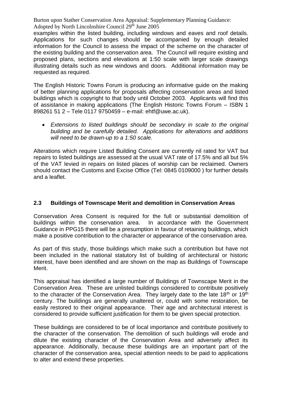examples within the listed building, including windows and eaves and roof details. Applications for such changes should be accompanied by enough detailed information for the Council to assess the impact of the scheme on the character of the existing building and the conservation area. The Council will require existing and proposed plans, sections and elevations at 1:50 scale with larger scale drawings illustrating details such as new windows and doors. Additional information may be requested as required.

The English Historic Towns Forum is producing an informative guide on the making of better planning applications for proposals affecting conservation areas and listed buildings which is copyright to that body until October 2003. Applicants will find this of assistance in making applications (The English Historic Towns Forum – ISBN 1 898261 51 2 – Tele 0117 9750459 – e-mail: ehtf@uwe.ac.uk).

 *Extensions to listed buildings should be secondary in scale to the original building and be carefully detailed. Applications for alterations and additions will need to be drawn-up to a 1:50 scale.*

Alterations which require Listed Building Consent are currently nil rated for VAT but repairs to listed buildings are assessed at the usual VAT rate of 17.5% and all but 5% of the VAT levied in repairs on listed places of worship can be reclaimed. Owners should contact the Customs and Excise Office (Tel: 0845 0109000 ) for further details and a leaflet.

## **2.3 Buildings of Townscape Merit and demolition in Conservation Areas**

Conservation Area Consent is required for the full or substantial demolition of buildings within the conservation area. In accordance with the Government Guidance in PPG15 there will be a presumption in favour of retaining buildings, which make a positive contribution to the character or appearance of the conservation area.

As part of this study, those buildings which make such a contribution but have not been included in the national statutory list of building of architectural or historic interest, have been identified and are shown on the map as Buildings of Townscape Merit.

This appraisal has identified a large number of Buildings of Townscape Merit in the Conservation Area. These are unlisted buildings considered to contribute positively to the character of the Conservation Area. They largely date to the late  $18<sup>th</sup>$  or  $19<sup>th</sup>$ century. The buildings are generally unaltered or, could with some restoration, be easily restored to their original appearance. Their age and architectural interest is considered to provide sufficient justification for them to be given special protection.

These buildings are considered to be of local importance and contribute positively to the character of the conservation. The demolition of such buildings will erode and dilute the existing character of the Conservation Area and adversely affect its appearance. Additionally, because these buildings are an important part of the character of the conservation area, special attention needs to be paid to applications to alter and extend these properties.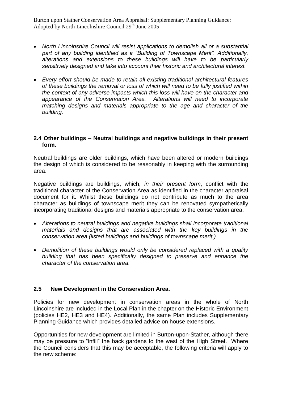- *North Lincolnshire Council will resist applications to demolish all or a substantial part of any building identified as a "Building of Townscape Merit". Additionally, alterations and extensions to these buildings will have to be particularly sensitively designed and take into account their historic and architectural interest.*
- *Every effort should be made to retain all existing traditional architectural features of these buildings the removal or loss of which will need to be fully justified within the context of any adverse impacts which this loss will have on the character and appearance of the Conservation Area. Alterations will need to incorporate matching designs and materials appropriate to the age and character of the building.*

#### **2.4 Other buildings – Neutral buildings and negative buildings in their present form.**

Neutral buildings are older buildings, which have been altered or modern buildings the design of which is considered to be reasonably in keeping with the surrounding area.

Negative buildings are buildings, which, *in their present form*, conflict with the traditional character of the Conservation Area as identified in the character appraisal document for it. Whilst these buildings do not contribute as much to the area character as buildings of townscape merit they can be renovated sympathetically incorporating traditional designs and materials appropriate to the conservation area.

- *Alterations to neutral buildings and negative buildings shall incorporate traditional materials and designs that are associated with the key buildings in the conservation area (listed buildings and buildings of townscape merit.)*
- *Demolition of these buildings would only be considered replaced with a quality building that has been specifically designed to preserve and enhance the character of the conservation area.*

#### **2.5 New Development in the Conservation Area.**

Policies for new development in conservation areas in the whole of North Lincolnshire are included in the Local Plan in the chapter on the Historic Environment (policies HE2, HE3 and HE4). Additionally, the same Plan includes Supplementary Planning Guidance which provides detailed advice on house extensions.

Opportunities for new development are limited in Burton-upon-Stather, although there may be pressure to "infill" the back gardens to the west of the High Street. Where the Council considers that this may be acceptable, the following criteria will apply to the new scheme: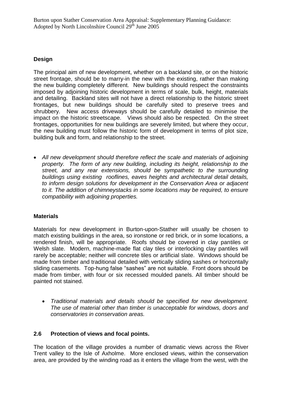## **Design**

The principal aim of new development, whether on a backland site, or on the historic street frontage, should be to marry-in the new with the existing, rather than making the new building completely different. New buildings should respect the constraints imposed by adjoining historic development in terms of scale, bulk, height, materials and detailing. Backland sites will not have a direct relationship to the historic street frontages, but new buildings should be carefully sited to preserve trees and shrubbery. New access driveways should be carefully detailed to minimise the impact on the historic streetscape. Views should also be respected. On the street frontages, opportunities for new buildings are severely limited, but where they occur, the new building must follow the historic form of development in terms of plot size, building bulk and form, and relationship to the street.

 *All new development should therefore reflect the scale and materials of adjoining property. The form of any new building, including its height, relationship to the street, and any rear extensions, should be sympathetic to the surrounding buildings using existing rooflines, eaves heights and architectural detail details, to inform design solutions for development in the Conservation Area or adjacent to it. The addition of chimneystacks in some locations may be required, to ensure compatibility with adjoining properties.* 

## **Materials**

Materials for new development in Burton-upon-Stather will usually be chosen to match existing buildings in the area, so ironstone or red brick, or in some locations, a rendered finish, will be appropriate. Roofs should be covered in clay pantiles or Welsh slate. Modern, machine-made flat clay tiles or interlocking clay pantiles will rarely be acceptable; neither will concrete tiles or artificial slate. Windows should be made from timber and traditional detailed with vertically sliding sashes or horizontally sliding casements. Top-hung false "sashes" are not suitable. Front doors should be made from timber, with four or six recessed moulded panels. All timber should be painted not stained.

 *Traditional materials and details should be specified for new development. The use of material other than timber is unacceptable for windows, doors and conservatories in conservation areas.*

#### **2.6 Protection of views and focal points.**

The location of the village provides a number of dramatic views across the River Trent valley to the Isle of Axholme. More enclosed views, within the conservation area, are provided by the winding road as it enters the village from the west, with the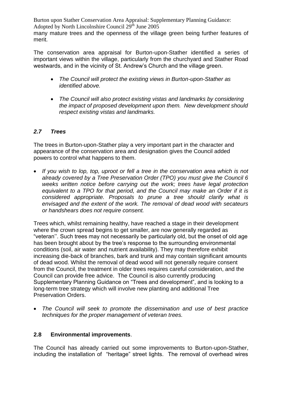Burton upon Stather Conservation Area Appraisal: Supplementary Planning Guidance: Adopted by North Lincolnshire Council  $29<sup>th</sup>$  June 2005 many mature trees and the openness of the village green being further features of merit.

The conservation area appraisal for Burton-upon-Stather identified a series of important views within the village, particularly from the churchyard and Stather Road westwards, and in the vicinity of St. Andrew's Church and the village green.

- *The Council will protect the existing views in Burton-upon-Stather as identified above.*
- *The Council will also protect existing vistas and landmarks by considering the impact of proposed development upon them. New development should respect existing vistas and landmarks.*

#### *2.7 Trees*

The trees in Burton-upon-Stather play a very important part in the character and appearance of the conservation area and designation gives the Council added powers to control what happens to them.

 *If you wish to lop, top, uproot or fell a tree in the conservation area which is not already covered by a Tree Preservation Order (TPO) you must give the Council 6 weeks written notice before carrying out the work; trees have legal protection equivalent to a TPO for that period, and the Council may make an Order if it is considered appropriate. Proposals to prune a tree should clarify what is envisaged and the extent of the work. The removal of dead wood with secateurs or handshears does not require consent.*

Trees which, whilst remaining healthy, have reached a stage in their development where the crown spread begins to get smaller, are now generally regarded as "veteran''. Such trees may not necessarily be particularly old, but the onset of old age has been brought about by the tree's response to the surrounding environmental conditions (soil, air water and nutrient availability). They may therefore exhibit increasing die-back of branches, bark and trunk and may contain significant amounts of dead wood. Whilst the removal of dead wood will not generally require consent from the Council, the treatment in older trees requires careful consideration, and the Council can provide free advice. The Council is also currently producing Supplementary Planning Guidance on "Trees and development", and is looking to a long-term tree strategy which will involve new planting and additional Tree Preservation Orders.

 *The Council will seek to promote the dissemination and use of best practice techniques for the proper management of veteran trees.*

#### **2.8 Environmental improvements**.

The Council has already carried out some improvements to Burton-upon-Stather, including the installation of "heritage" street lights. The removal of overhead wires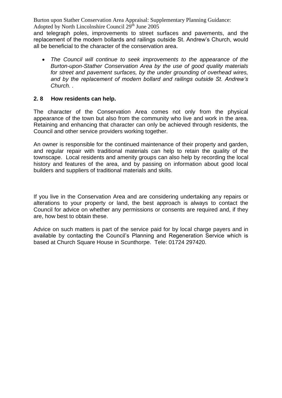and telegraph poles, improvements to street surfaces and pavements, and the replacement of the modern bollards and railings outside St. Andrew's Church, would all be beneficial to the character of the conservation area.

 *The Council will continue to seek improvements to the appearance of the Burton-upon-Stather Conservation Area by the use of good quality materials for street and pavement surfaces, by the under grounding of overhead wires, and by the replacement of modern bollard and railings outside St. Andrew's Church. .*

#### **2. 8 How residents can help.**

The character of the Conservation Area comes not only from the physical appearance of the town but also from the community who live and work in the area. Retaining and enhancing that character can only be achieved through residents, the Council and other service providers working together.

An owner is responsible for the continued maintenance of their property and garden, and regular repair with traditional materials can help to retain the quality of the townscape. Local residents and amenity groups can also help by recording the local history and features of the area, and by passing on information about good local builders and suppliers of traditional materials and skills.

If you live in the Conservation Area and are considering undertaking any repairs or alterations to your property or land, the best approach is always to contact the Council for advice on whether any permissions or consents are required and, if they are, how best to obtain these.

Advice on such matters is part of the service paid for by local charge payers and in available by contacting the Council's Planning and Regeneration Service which is based at Church Square House in Scunthorpe. Tele: 01724 297420.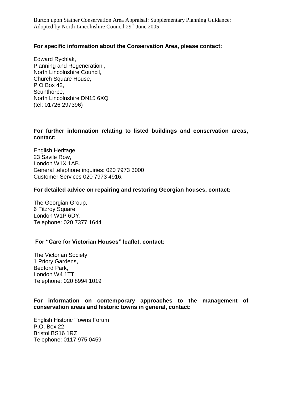#### **For specific information about the Conservation Area, please contact:**

Edward Rychlak, Planning and Regeneration , North Lincolnshire Council, Church Square House, P O Box 42, Scunthorpe, North Lincolnshire DN15 6XQ (tel: 01726 297396)

#### **For further information relating to listed buildings and conservation areas, contact:**

English Heritage, 23 Savile Row, London W1X 1AB. General telephone inquiries: 020 7973 3000 Customer Services 020 7973 4916.

#### **For detailed advice on repairing and restoring Georgian houses, contact:**

The Georgian Group, 6 Fitzroy Square, London W1P 6DY. Telephone: 020 7377 1644

#### **For "Care for Victorian Houses" leaflet, contact:**

The Victorian Society, 1 Priory Gardens, Bedford Park, London W4 1TT Telephone: 020 8994 1019

#### **For information on contemporary approaches to the management of conservation areas and historic towns in general, contact:**

English Historic Towns Forum P.O. Box 22 Bristol BS16 1RZ Telephone: 0117 975 0459